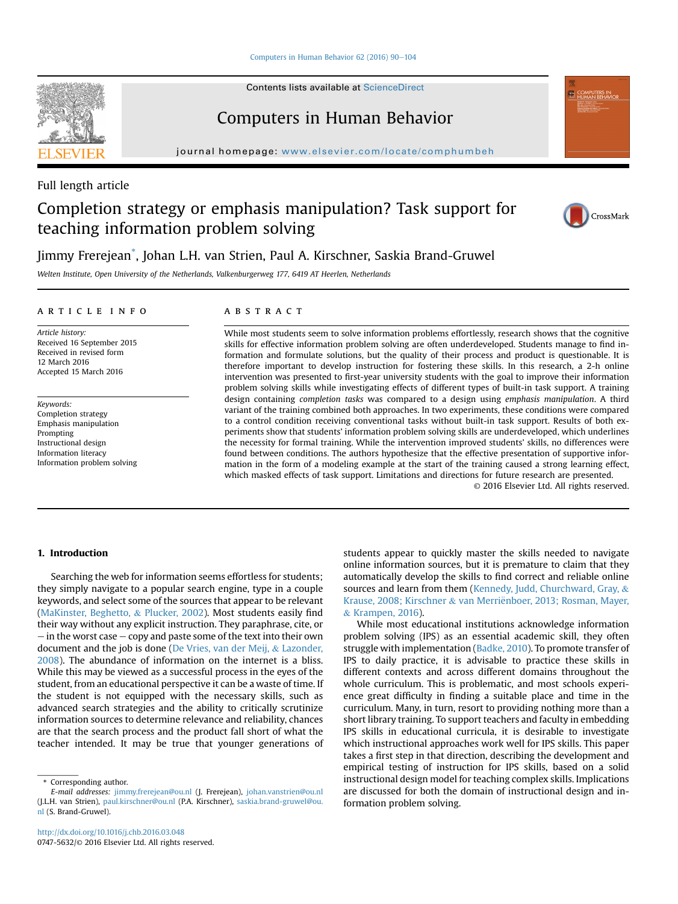Computers in Human Behavior  $62$  (2016) 90 $-104$  $-104$ 

Contents lists available at ScienceDirect

# Computers in Human Behavior

journal homepage: <www.elsevier.com/locate/comphumbeh>



# Completion strategy or emphasis manipulation? Task support for teaching information problem solving



Jimmy Frerejean\* , Johan L.H. van Strien, Paul A. Kirschner, Saskia Brand-Gruwel

Welten Institute, Open University of the Netherlands, Valkenburgerweg 177, 6419 AT Heerlen, Netherlands

# article info

Article history: Received 16 September 2015 Received in revised form 12 March 2016 Accepted 15 March 2016

Keywords: Completion strategy Emphasis manipulation Prompting Instructional design Information literacy Information problem solving

# **ABSTRACT**

While most students seem to solve information problems effortlessly, research shows that the cognitive skills for effective information problem solving are often underdeveloped. Students manage to find information and formulate solutions, but the quality of their process and product is questionable. It is therefore important to develop instruction for fostering these skills. In this research, a 2-h online intervention was presented to first-year university students with the goal to improve their information problem solving skills while investigating effects of different types of built-in task support. A training design containing completion tasks was compared to a design using emphasis manipulation. A third variant of the training combined both approaches. In two experiments, these conditions were compared to a control condition receiving conventional tasks without built-in task support. Results of both experiments show that students' information problem solving skills are underdeveloped, which underlines the necessity for formal training. While the intervention improved students' skills, no differences were found between conditions. The authors hypothesize that the effective presentation of supportive information in the form of a modeling example at the start of the training caused a strong learning effect, which masked effects of task support. Limitations and directions for future research are presented.

© 2016 Elsevier Ltd. All rights reserved.

# 1. Introduction

Searching the web for information seems effortless for students; they simply navigate to a popular search engine, type in a couple keywords, and select some of the sources that appear to be relevant ([MaKinster, Beghetto,](#page-13-0) & [Plucker, 2002\)](#page-13-0). Most students easily find their way without any explicit instruction. They paraphrase, cite, or  $-$  in the worst case  $-$  copy and paste some of the text into their own document and the job is done [\(De Vries, van der Meij,](#page-13-0) & [Lazonder,](#page-13-0) [2008](#page-13-0)). The abundance of information on the internet is a bliss. While this may be viewed as a successful process in the eyes of the student, from an educational perspective it can be a waste of time. If the student is not equipped with the necessary skills, such as advanced search strategies and the ability to critically scrutinize information sources to determine relevance and reliability, chances are that the search process and the product fall short of what the teacher intended. It may be true that younger generations of students appear to quickly master the skills needed to navigate online information sources, but it is premature to claim that they automatically develop the skills to find correct and reliable online sources and learn from them [\(Kennedy, Judd, Churchward, Gray,](#page-13-0) & [Krause, 2008; Kirschner](#page-13-0) & van Merriënboer, 2013; Rosman, Mayer, & [Krampen, 2016\)](#page-13-0).

While most educational institutions acknowledge information problem solving (IPS) as an essential academic skill, they often struggle with implementation ([Badke, 2010](#page-13-0)). To promote transfer of IPS to daily practice, it is advisable to practice these skills in different contexts and across different domains throughout the whole curriculum. This is problematic, and most schools experience great difficulty in finding a suitable place and time in the curriculum. Many, in turn, resort to providing nothing more than a short library training. To support teachers and faculty in embedding IPS skills in educational curricula, it is desirable to investigate which instructional approaches work well for IPS skills. This paper takes a first step in that direction, describing the development and empirical testing of instruction for IPS skills, based on a solid instructional design model for teaching complex skills. Implications are discussed for both the domain of instructional design and information problem solving.



<sup>\*</sup> Corresponding author.

E-mail addresses: [jimmy.frerejean@ou.nl](mailto:jimmy.frerejean@ou.nl) (J. Frerejean), [johan.vanstrien@ou.nl](mailto:johan.vanstrien@ou.nl) (J.L.H. van Strien), [paul.kirschner@ou.nl](mailto:paul.kirschner@ou.nl) (P.A. Kirschner), [saskia.brand-gruwel@ou.](mailto:saskia.brand-gruwel@ou.nl) [nl](mailto:saskia.brand-gruwel@ou.nl) (S. Brand-Gruwel).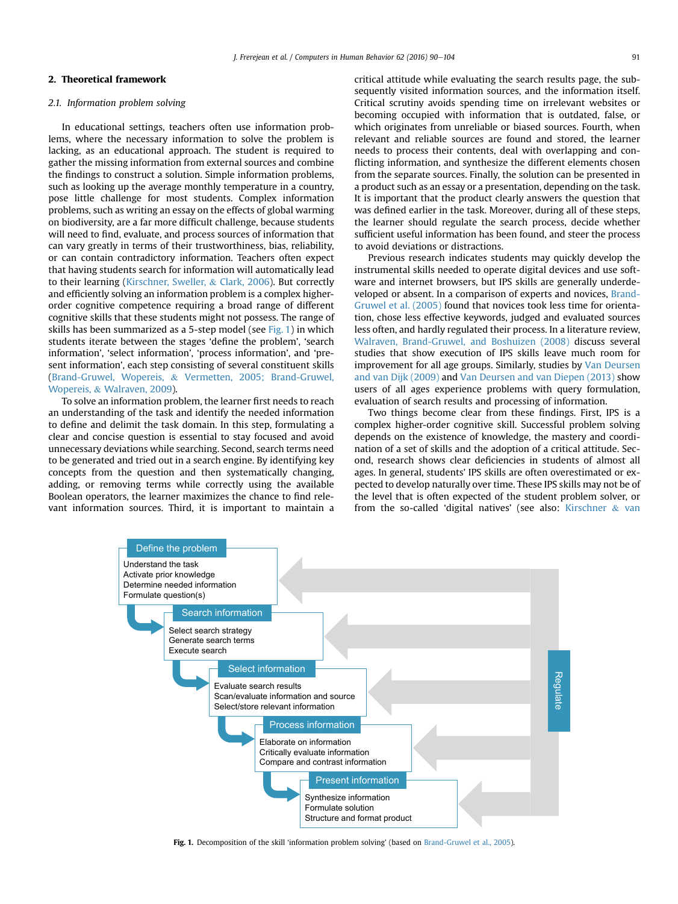# 2. Theoretical framework

# 2.1. Information problem solving

In educational settings, teachers often use information problems, where the necessary information to solve the problem is lacking, as an educational approach. The student is required to gather the missing information from external sources and combine the findings to construct a solution. Simple information problems, such as looking up the average monthly temperature in a country, pose little challenge for most students. Complex information problems, such as writing an essay on the effects of global warming on biodiversity, are a far more difficult challenge, because students will need to find, evaluate, and process sources of information that can vary greatly in terms of their trustworthiness, bias, reliability, or can contain contradictory information. Teachers often expect that having students search for information will automatically lead to their learning ([Kirschner, Sweller,](#page-13-0) & [Clark, 2006\)](#page-13-0). But correctly and efficiently solving an information problem is a complex higherorder cognitive competence requiring a broad range of different cognitive skills that these students might not possess. The range of skills has been summarized as a 5-step model (see Fig. 1) in which students iterate between the stages 'define the problem', 'search information', 'select information', 'process information', and 'present information', each step consisting of several constituent skills ([Brand-Gruwel, Wopereis,](#page-13-0) & [Vermetten, 2005; Brand-Gruwel,](#page-13-0) [Wopereis,](#page-13-0) & [Walraven, 2009](#page-13-0)).

To solve an information problem, the learner first needs to reach an understanding of the task and identify the needed information to define and delimit the task domain. In this step, formulating a clear and concise question is essential to stay focused and avoid unnecessary deviations while searching. Second, search terms need to be generated and tried out in a search engine. By identifying key concepts from the question and then systematically changing, adding, or removing terms while correctly using the available Boolean operators, the learner maximizes the chance to find relevant information sources. Third, it is important to maintain a critical attitude while evaluating the search results page, the subsequently visited information sources, and the information itself. Critical scrutiny avoids spending time on irrelevant websites or becoming occupied with information that is outdated, false, or which originates from unreliable or biased sources. Fourth, when relevant and reliable sources are found and stored, the learner needs to process their contents, deal with overlapping and conflicting information, and synthesize the different elements chosen from the separate sources. Finally, the solution can be presented in a product such as an essay or a presentation, depending on the task. It is important that the product clearly answers the question that was defined earlier in the task. Moreover, during all of these steps, the learner should regulate the search process, decide whether sufficient useful information has been found, and steer the process to avoid deviations or distractions.

Previous research indicates students may quickly develop the instrumental skills needed to operate digital devices and use software and internet browsers, but IPS skills are generally underdeveloped or absent. In a comparison of experts and novices, [Brand-](#page-13-0)[Gruwel et al. \(2005\)](#page-13-0) found that novices took less time for orientation, chose less effective keywords, judged and evaluated sources less often, and hardly regulated their process. In a literature review, [Walraven, Brand-Gruwel, and Boshuizen \(2008\)](#page-14-0) discuss several studies that show execution of IPS skills leave much room for improvement for all age groups. Similarly, studies by [Van Deursen](#page-14-0) [and van Dijk \(2009\)](#page-14-0) and [Van Deursen and van Diepen \(2013\)](#page-14-0) show users of all ages experience problems with query formulation, evaluation of search results and processing of information.

Two things become clear from these findings. First, IPS is a complex higher-order cognitive skill. Successful problem solving depends on the existence of knowledge, the mastery and coordination of a set of skills and the adoption of a critical attitude. Second, research shows clear deficiencies in students of almost all ages. In general, students' IPS skills are often overestimated or expected to develop naturally over time. These IPS skills may not be of the level that is often expected of the student problem solver, or from the so-called 'digital natives' (see also: [Kirschner](#page-13-0) & [van](#page-13-0)



Fig. 1. Decomposition of the skill 'information problem solving' (based on [Brand-Gruwel et al., 2005\)](#page-13-0).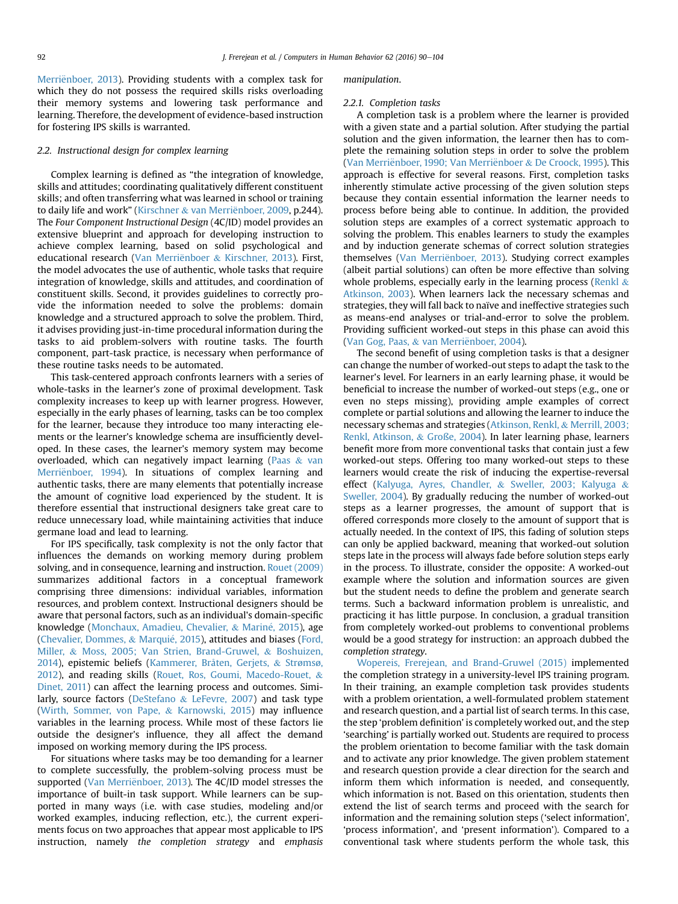[Merrienboer, 2013](#page-13-0)). Providing students with a complex task for which they do not possess the required skills risks overloading their memory systems and lowering task performance and learning. Therefore, the development of evidence-based instruction for fostering IPS skills is warranted.

## 2.2. Instructional design for complex learning

Complex learning is defined as "the integration of knowledge, skills and attitudes; coordinating qualitatively different constituent skills; and often transferring what was learned in school or training to daily life and work" [\(Kirschner](#page-13-0) & van Merriënboer, 2009, p.244). The Four Component Instructional Design (4C/ID) model provides an extensive blueprint and approach for developing instruction to achieve complex learning, based on solid psychological and educational research (Van Merriënboer & [Kirschner, 2013](#page-14-0)). First, the model advocates the use of authentic, whole tasks that require integration of knowledge, skills and attitudes, and coordination of constituent skills. Second, it provides guidelines to correctly provide the information needed to solve the problems: domain knowledge and a structured approach to solve the problem. Third, it advises providing just-in-time procedural information during the tasks to aid problem-solvers with routine tasks. The fourth component, part-task practice, is necessary when performance of these routine tasks needs to be automated.

This task-centered approach confronts learners with a series of whole-tasks in the learner's zone of proximal development. Task complexity increases to keep up with learner progress. However, especially in the early phases of learning, tasks can be too complex for the learner, because they introduce too many interacting elements or the learner's knowledge schema are insufficiently developed. In these cases, the learner's memory system may become overloaded, which can negatively impact learning ([Paas](#page-14-0)  $&$  [van](#page-14-0) Merriënboer, 1994). In situations of complex learning and authentic tasks, there are many elements that potentially increase the amount of cognitive load experienced by the student. It is therefore essential that instructional designers take great care to reduce unnecessary load, while maintaining activities that induce germane load and lead to learning.

For IPS specifically, task complexity is not the only factor that influences the demands on working memory during problem solving, and in consequence, learning and instruction. [Rouet \(2009\)](#page-14-0) summarizes additional factors in a conceptual framework comprising three dimensions: individual variables, information resources, and problem context. Instructional designers should be aware that personal factors, such as an individual's domain-specific knowledge [\(Monchaux, Amadieu, Chevalier,](#page-13-0) & Mariné, 2015), age ([Chevalier, Dommes,](#page-13-0) & [Marqui](#page-13-0)é[, 2015](#page-13-0)), attitudes and biases [\(Ford,](#page-13-0) [Miller,](#page-13-0) & [Moss, 2005; Van Strien, Brand-Gruwel,](#page-13-0) & [Boshuizen,](#page-13-0) [2014](#page-13-0)), epistemic beliefs ([Kammerer, Bråten, Gerjets,](#page-13-0) & [Strøms](#page-13-0)ø[,](#page-13-0) [2012](#page-13-0)), and reading skills ([Rouet, Ros, Goumi, Macedo-Rouet,](#page-14-0) & [Dinet, 2011](#page-14-0)) can affect the learning process and outcomes. Similarly, source factors [\(DeStefano](#page-13-0) & [LeFevre, 2007\)](#page-13-0) and task type ([Wirth, Sommer, von Pape,](#page-14-0) & [Karnowski, 2015\)](#page-14-0) may influence variables in the learning process. While most of these factors lie outside the designer's influence, they all affect the demand imposed on working memory during the IPS process.

For situations where tasks may be too demanding for a learner to complete successfully, the problem-solving process must be supported (Van Merriënboer, 2013). The 4C/ID model stresses the importance of built-in task support. While learners can be supported in many ways (i.e. with case studies, modeling and/or worked examples, inducing reflection, etc.), the current experiments focus on two approaches that appear most applicable to IPS instruction, namely the completion strategy and emphasis

#### manipulation.

## 2.2.1. Completion tasks

A completion task is a problem where the learner is provided with a given state and a partial solution. After studying the partial solution and the given information, the learner then has to complete the remaining solution steps in order to solve the problem (Van Merrië[nboer](#page-14-0), 1990; Van Merriënboer & [De Croock, 1995](#page-14-0)). This approach is effective for several reasons. First, completion tasks inherently stimulate active processing of the given solution steps because they contain essential information the learner needs to process before being able to continue. In addition, the provided solution steps are examples of a correct systematic approach to solving the problem. This enables learners to study the examples and by induction generate schemas of correct solution strategies themselves (Van Merriënboer, 2013). Studying correct examples (albeit partial solutions) can often be more effective than solving whole problems, especially early in the learning process [\(Renkl](#page-14-0)  $\&$ [Atkinson, 2003](#page-14-0)). When learners lack the necessary schemas and strategies, they will fall back to naïve and ineffective strategies such as means-end analyses or trial-and-error to solve the problem. Providing sufficient worked-out steps in this phase can avoid this ([Van Gog, Paas,](#page-14-0) & [van Merri](#page-14-0)ë[nboer, 2004](#page-14-0)).

The second benefit of using completion tasks is that a designer can change the number of worked-out steps to adapt the task to the learner's level. For learners in an early learning phase, it would be beneficial to increase the number of worked-out steps (e.g., one or even no steps missing), providing ample examples of correct complete or partial solutions and allowing the learner to induce the necessary schemas and strategies [\(Atkinson, Renkl,](#page-13-0) & [Merrill, 2003;](#page-13-0) [Renkl, Atkinson,](#page-13-0) & [Gro](#page-13-0)ß[e, 2004\)](#page-13-0). In later learning phase, learners benefit more from more conventional tasks that contain just a few worked-out steps. Offering too many worked-out steps to these learners would create the risk of inducing the expertise-reversal effect ([Kalyuga, Ayres, Chandler,](#page-13-0) & [Sweller, 2003; Kalyuga](#page-13-0) & [Sweller, 2004\)](#page-13-0). By gradually reducing the number of worked-out steps as a learner progresses, the amount of support that is offered corresponds more closely to the amount of support that is actually needed. In the context of IPS, this fading of solution steps can only be applied backward, meaning that worked-out solution steps late in the process will always fade before solution steps early in the process. To illustrate, consider the opposite: A worked-out example where the solution and information sources are given but the student needs to define the problem and generate search terms. Such a backward information problem is unrealistic, and practicing it has little purpose. In conclusion, a gradual transition from completely worked-out problems to conventional problems would be a good strategy for instruction: an approach dubbed the completion strategy.

[Wopereis, Frerejean, and Brand-Gruwel \(2015\)](#page-14-0) implemented the completion strategy in a university-level IPS training program. In their training, an example completion task provides students with a problem orientation, a well-formulated problem statement and research question, and a partial list of search terms. In this case, the step 'problem definition' is completely worked out, and the step 'searching' is partially worked out. Students are required to process the problem orientation to become familiar with the task domain and to activate any prior knowledge. The given problem statement and research question provide a clear direction for the search and inform them which information is needed, and consequently, which information is not. Based on this orientation, students then extend the list of search terms and proceed with the search for information and the remaining solution steps ('select information', 'process information', and 'present information'). Compared to a conventional task where students perform the whole task, this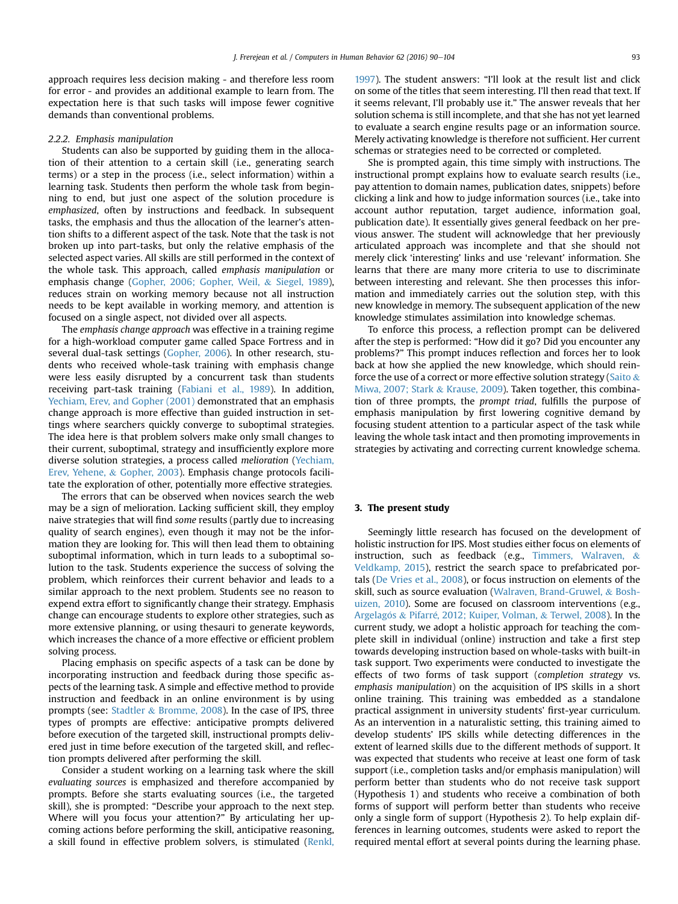approach requires less decision making - and therefore less room for error - and provides an additional example to learn from. The expectation here is that such tasks will impose fewer cognitive demands than conventional problems.

# 2.2.2. Emphasis manipulation

Students can also be supported by guiding them in the allocation of their attention to a certain skill (i.e., generating search terms) or a step in the process (i.e., select information) within a learning task. Students then perform the whole task from beginning to end, but just one aspect of the solution procedure is emphasized, often by instructions and feedback. In subsequent tasks, the emphasis and thus the allocation of the learner's attention shifts to a different aspect of the task. Note that the task is not broken up into part-tasks, but only the relative emphasis of the selected aspect varies. All skills are still performed in the context of the whole task. This approach, called emphasis manipulation or emphasis change [\(Gopher, 2006; Gopher, Weil,](#page-13-0) & [Siegel, 1989\)](#page-13-0), reduces strain on working memory because not all instruction needs to be kept available in working memory, and attention is focused on a single aspect, not divided over all aspects.

The emphasis change approach was effective in a training regime for a high-workload computer game called Space Fortress and in several dual-task settings ([Gopher, 2006\)](#page-13-0). In other research, students who received whole-task training with emphasis change were less easily disrupted by a concurrent task than students receiving part-task training ([Fabiani et al., 1989](#page-13-0)). In addition, [Yechiam, Erev, and Gopher \(2001\)](#page-14-0) demonstrated that an emphasis change approach is more effective than guided instruction in settings where searchers quickly converge to suboptimal strategies. The idea here is that problem solvers make only small changes to their current, suboptimal, strategy and insufficiently explore more diverse solution strategies, a process called melioration ([Yechiam,](#page-14-0) [Erev, Yehene,](#page-14-0) & [Gopher, 2003](#page-14-0)). Emphasis change protocols facilitate the exploration of other, potentially more effective strategies.

The errors that can be observed when novices search the web may be a sign of melioration. Lacking sufficient skill, they employ naive strategies that will find some results (partly due to increasing quality of search engines), even though it may not be the information they are looking for. This will then lead them to obtaining suboptimal information, which in turn leads to a suboptimal solution to the task. Students experience the success of solving the problem, which reinforces their current behavior and leads to a similar approach to the next problem. Students see no reason to expend extra effort to significantly change their strategy. Emphasis change can encourage students to explore other strategies, such as more extensive planning, or using thesauri to generate keywords, which increases the chance of a more effective or efficient problem solving process.

Placing emphasis on specific aspects of a task can be done by incorporating instruction and feedback during those specific aspects of the learning task. A simple and effective method to provide instruction and feedback in an online environment is by using prompts (see: [Stadtler](#page-14-0) & [Bromme, 2008\)](#page-14-0). In the case of IPS, three types of prompts are effective: anticipative prompts delivered before execution of the targeted skill, instructional prompts delivered just in time before execution of the targeted skill, and reflection prompts delivered after performing the skill.

Consider a student working on a learning task where the skill evaluating sources is emphasized and therefore accompanied by prompts. Before she starts evaluating sources (i.e., the targeted skill), she is prompted: "Describe your approach to the next step. Where will you focus your attention?" By articulating her upcoming actions before performing the skill, anticipative reasoning, a skill found in effective problem solvers, is stimulated [\(Renkl,](#page-14-0) [1997\)](#page-14-0). The student answers: "I'll look at the result list and click on some of the titles that seem interesting. I'll then read that text. If it seems relevant, I'll probably use it." The answer reveals that her solution schema is still incomplete, and that she has not yet learned to evaluate a search engine results page or an information source. Merely activating knowledge is therefore not sufficient. Her current schemas or strategies need to be corrected or completed.

She is prompted again, this time simply with instructions. The instructional prompt explains how to evaluate search results (i.e., pay attention to domain names, publication dates, snippets) before clicking a link and how to judge information sources (i.e., take into account author reputation, target audience, information goal, publication date). It essentially gives general feedback on her previous answer. The student will acknowledge that her previously articulated approach was incomplete and that she should not merely click 'interesting' links and use 'relevant' information. She learns that there are many more criteria to use to discriminate between interesting and relevant. She then processes this information and immediately carries out the solution step, with this new knowledge in memory. The subsequent application of the new knowledge stimulates assimilation into knowledge schemas.

To enforce this process, a reflection prompt can be delivered after the step is performed: "How did it go? Did you encounter any problems?" This prompt induces reflection and forces her to look back at how she applied the new knowledge, which should rein-force the use of a correct or more effective solution strategy ([Saito](#page-14-0)  $\&$ [Miwa, 2007; Stark](#page-14-0) & [Krause, 2009\)](#page-14-0). Taken together, this combination of three prompts, the prompt triad, fulfills the purpose of emphasis manipulation by first lowering cognitive demand by focusing student attention to a particular aspect of the task while leaving the whole task intact and then promoting improvements in strategies by activating and correcting current knowledge schema.

## 3. The present study

Seemingly little research has focused on the development of holistic instruction for IPS. Most studies either focus on elements of instruction, such as feedback (e.g., [Timmers, Walraven,](#page-14-0) & [Veldkamp, 2015\)](#page-14-0), restrict the search space to prefabricated portals [\(De Vries et al., 2008\)](#page-13-0), or focus instruction on elements of the skill, such as source evaluation ([Walraven, Brand-Gruwel,](#page-14-0) & [Bosh](#page-14-0)[uizen, 2010\)](#page-14-0). Some are focused on classroom interventions (e.g., [Argelag](#page-13-0)ó[s](#page-13-0) & [Pifarr](#page-13-0)é[, 2012; Kuiper, Volman,](#page-13-0) & [Terwel, 2008\)](#page-13-0). In the current study, we adopt a holistic approach for teaching the complete skill in individual (online) instruction and take a first step towards developing instruction based on whole-tasks with built-in task support. Two experiments were conducted to investigate the effects of two forms of task support (completion strategy vs. emphasis manipulation) on the acquisition of IPS skills in a short online training. This training was embedded as a standalone practical assignment in university students' first-year curriculum. As an intervention in a naturalistic setting, this training aimed to develop students' IPS skills while detecting differences in the extent of learned skills due to the different methods of support. It was expected that students who receive at least one form of task support (i.e., completion tasks and/or emphasis manipulation) will perform better than students who do not receive task support (Hypothesis 1) and students who receive a combination of both forms of support will perform better than students who receive only a single form of support (Hypothesis 2). To help explain differences in learning outcomes, students were asked to report the required mental effort at several points during the learning phase.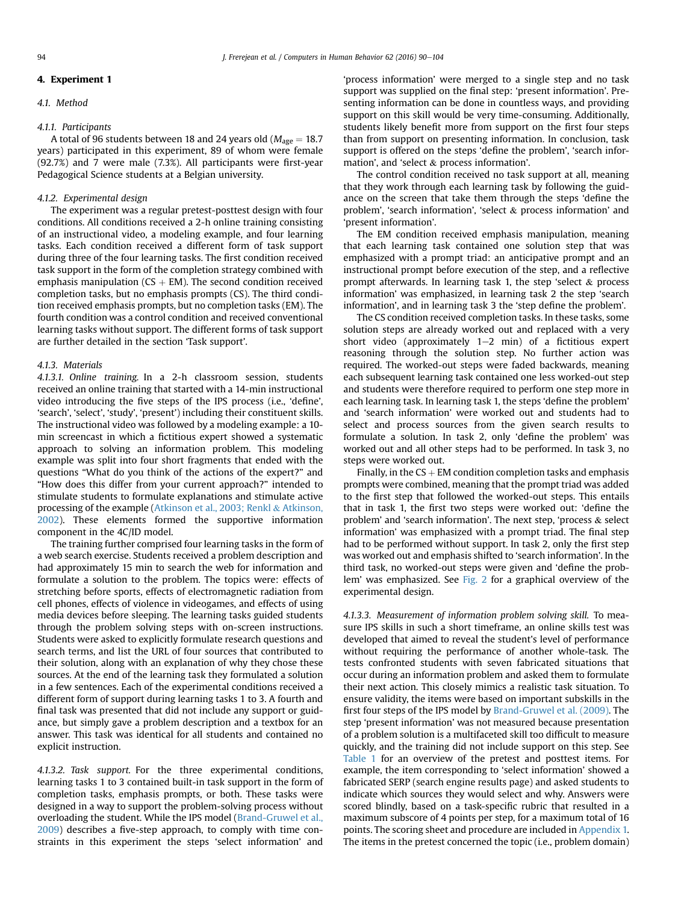## 4. Experiment 1

# 4.1. Method

## 4.1.1. Participants

A total of 96 students between 18 and 24 years old ( $M_{\text{age}} = 18.7$ years) participated in this experiment, 89 of whom were female (92.7%) and 7 were male (7.3%). All participants were first-year Pedagogical Science students at a Belgian university.

## 4.1.2. Experimental design

The experiment was a regular pretest-posttest design with four conditions. All conditions received a 2-h online training consisting of an instructional video, a modeling example, and four learning tasks. Each condition received a different form of task support during three of the four learning tasks. The first condition received task support in the form of the completion strategy combined with emphasis manipulation ( $CS + EM$ ). The second condition received completion tasks, but no emphasis prompts (CS). The third condition received emphasis prompts, but no completion tasks (EM). The fourth condition was a control condition and received conventional learning tasks without support. The different forms of task support are further detailed in the section 'Task support'.

## 4.1.3. Materials

4.1.3.1. Online training. In a 2-h classroom session, students received an online training that started with a 14-min instructional video introducing the five steps of the IPS process (i.e., 'define', 'search', 'select', 'study', 'present') including their constituent skills. The instructional video was followed by a modeling example: a 10 min screencast in which a fictitious expert showed a systematic approach to solving an information problem. This modeling example was split into four short fragments that ended with the questions "What do you think of the actions of the expert?" and "How does this differ from your current approach?" intended to stimulate students to formulate explanations and stimulate active processing of the example ([Atkinson et al., 2003; Renkl](#page-13-0) & [Atkinson,](#page-13-0) [2002](#page-13-0)). These elements formed the supportive information component in the 4C/ID model.

The training further comprised four learning tasks in the form of a web search exercise. Students received a problem description and had approximately 15 min to search the web for information and formulate a solution to the problem. The topics were: effects of stretching before sports, effects of electromagnetic radiation from cell phones, effects of violence in videogames, and effects of using media devices before sleeping. The learning tasks guided students through the problem solving steps with on-screen instructions. Students were asked to explicitly formulate research questions and search terms, and list the URL of four sources that contributed to their solution, along with an explanation of why they chose these sources. At the end of the learning task they formulated a solution in a few sentences. Each of the experimental conditions received a different form of support during learning tasks 1 to 3. A fourth and final task was presented that did not include any support or guidance, but simply gave a problem description and a textbox for an answer. This task was identical for all students and contained no explicit instruction.

4.1.3.2. Task support. For the three experimental conditions, learning tasks 1 to 3 contained built-in task support in the form of completion tasks, emphasis prompts, or both. These tasks were designed in a way to support the problem-solving process without overloading the student. While the IPS model ([Brand-Gruwel et al.,](#page-13-0) [2009](#page-13-0)) describes a five-step approach, to comply with time constraints in this experiment the steps 'select information' and 'process information' were merged to a single step and no task support was supplied on the final step: 'present information'. Presenting information can be done in countless ways, and providing support on this skill would be very time-consuming. Additionally, students likely benefit more from support on the first four steps than from support on presenting information. In conclusion, task support is offered on the steps 'define the problem', 'search information', and 'select & process information'.

The control condition received no task support at all, meaning that they work through each learning task by following the guidance on the screen that take them through the steps 'define the problem', 'search information', 'select & process information' and 'present information'.

The EM condition received emphasis manipulation, meaning that each learning task contained one solution step that was emphasized with a prompt triad: an anticipative prompt and an instructional prompt before execution of the step, and a reflective prompt afterwards. In learning task 1, the step 'select  $\&$  process information' was emphasized, in learning task 2 the step 'search information', and in learning task 3 the 'step define the problem'.

The CS condition received completion tasks. In these tasks, some solution steps are already worked out and replaced with a very short video (approximately  $1-2$  min) of a fictitious expert reasoning through the solution step. No further action was required. The worked-out steps were faded backwards, meaning each subsequent learning task contained one less worked-out step and students were therefore required to perform one step more in each learning task. In learning task 1, the steps 'define the problem' and 'search information' were worked out and students had to select and process sources from the given search results to formulate a solution. In task 2, only 'define the problem' was worked out and all other steps had to be performed. In task 3, no steps were worked out.

Finally, in the  $CS + EM$  condition completion tasks and emphasis prompts were combined, meaning that the prompt triad was added to the first step that followed the worked-out steps. This entails that in task 1, the first two steps were worked out: 'define the problem' and 'search information'. The next step, 'process & select information' was emphasized with a prompt triad. The final step had to be performed without support. In task 2, only the first step was worked out and emphasis shifted to 'search information'. In the third task, no worked-out steps were given and 'define the problem' was emphasized. See [Fig. 2](#page-5-0) for a graphical overview of the experimental design.

4.1.3.3. Measurement of information problem solving skill. To measure IPS skills in such a short timeframe, an online skills test was developed that aimed to reveal the student's level of performance without requiring the performance of another whole-task. The tests confronted students with seven fabricated situations that occur during an information problem and asked them to formulate their next action. This closely mimics a realistic task situation. To ensure validity, the items were based on important subskills in the first four steps of the IPS model by [Brand-Gruwel et al. \(2009\).](#page-13-0) The step 'present information' was not measured because presentation of a problem solution is a multifaceted skill too difficult to measure quickly, and the training did not include support on this step. See [Table 1](#page-5-0) for an overview of the pretest and posttest items. For example, the item corresponding to 'select information' showed a fabricated SERP (search engine results page) and asked students to indicate which sources they would select and why. Answers were scored blindly, based on a task-specific rubric that resulted in a maximum subscore of 4 points per step, for a maximum total of 16 points. The scoring sheet and procedure are included in [Appendix 1.](#page-12-0) The items in the pretest concerned the topic (i.e., problem domain)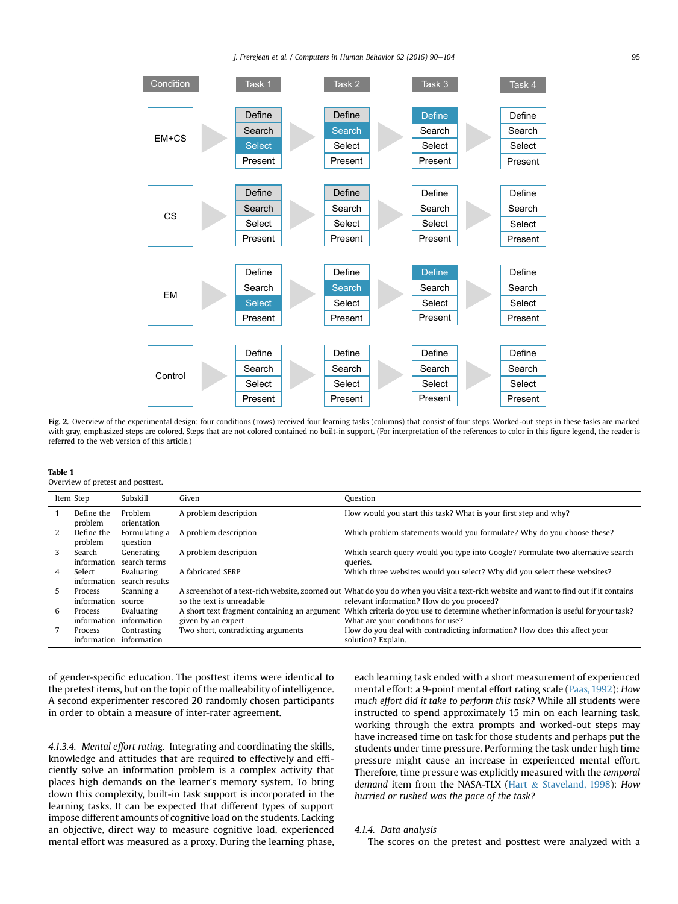*I. Frereiean et al. / Computers in Human Behavior 62 (2016) 90–104*  $95$ 

<span id="page-5-0"></span>

Fig. 2. Overview of the experimental design: four conditions (rows) received four learning tasks (columns) that consist of four steps. Worked-out steps in these tasks are marked with gray, emphasized steps are colored. Steps that are not colored contained no built-in support. (For interpretation of the references to color in this figure legend, the reader is referred to the web version of this article.)

|--|--|

Overview of pretest and posttest.

|    | Item Step              | Subskill                               | Given                                                              | Question                                                                                                                                                                           |
|----|------------------------|----------------------------------------|--------------------------------------------------------------------|------------------------------------------------------------------------------------------------------------------------------------------------------------------------------------|
|    | Define the<br>problem  | Problem<br>orientation                 | A problem description                                              | How would you start this task? What is your first step and why?                                                                                                                    |
|    | Define the<br>problem  | Formulating a<br>question              | A problem description                                              | Which problem statements would you formulate? Why do you choose these?                                                                                                             |
| 3  | Search                 | Generating<br>information search terms | A problem description                                              | Which search query would you type into Google? Formulate two alternative search<br>queries.                                                                                        |
| 4  | Select<br>information  | Evaluating<br>search results           | A fabricated SERP                                                  | Which three websites would you select? Why did you select these websites?                                                                                                          |
| 5. | Process<br>information | Scanning a<br>source                   | so the text is unreadable                                          | A screenshot of a text-rich website, zoomed out What do you do when you visit a text-rich website and want to find out if it contains<br>relevant information? How do you proceed? |
| 6  | Process                | Evaluating<br>information information  | A short text fragment containing an argument<br>given by an expert | Which criteria do you use to determine whether information is useful for your task?<br>What are your conditions for use?                                                           |
|    | Process<br>information | Contrasting<br>information             | Two short, contradicting arguments                                 | How do you deal with contradicting information? How does this affect your<br>solution? Explain.                                                                                    |

of gender-specific education. The posttest items were identical to the pretest items, but on the topic of the malleability of intelligence. A second experimenter rescored 20 randomly chosen participants in order to obtain a measure of inter-rater agreement.

4.1.3.4. Mental effort rating. Integrating and coordinating the skills, knowledge and attitudes that are required to effectively and efficiently solve an information problem is a complex activity that places high demands on the learner's memory system. To bring down this complexity, built-in task support is incorporated in the learning tasks. It can be expected that different types of support impose different amounts of cognitive load on the students. Lacking an objective, direct way to measure cognitive load, experienced mental effort was measured as a proxy. During the learning phase, each learning task ended with a short measurement of experienced mental effort: a 9-point mental effort rating scale ([Paas, 1992](#page-14-0)): How much effort did it take to perform this task? While all students were instructed to spend approximately 15 min on each learning task, working through the extra prompts and worked-out steps may have increased time on task for those students and perhaps put the students under time pressure. Performing the task under high time pressure might cause an increase in experienced mental effort. Therefore, time pressure was explicitly measured with the temporal demand item from the NASA-TLX ([Hart](#page-13-0) & [Staveland, 1998](#page-13-0)): How hurried or rushed was the pace of the task?

## 4.1.4. Data analysis

The scores on the pretest and posttest were analyzed with a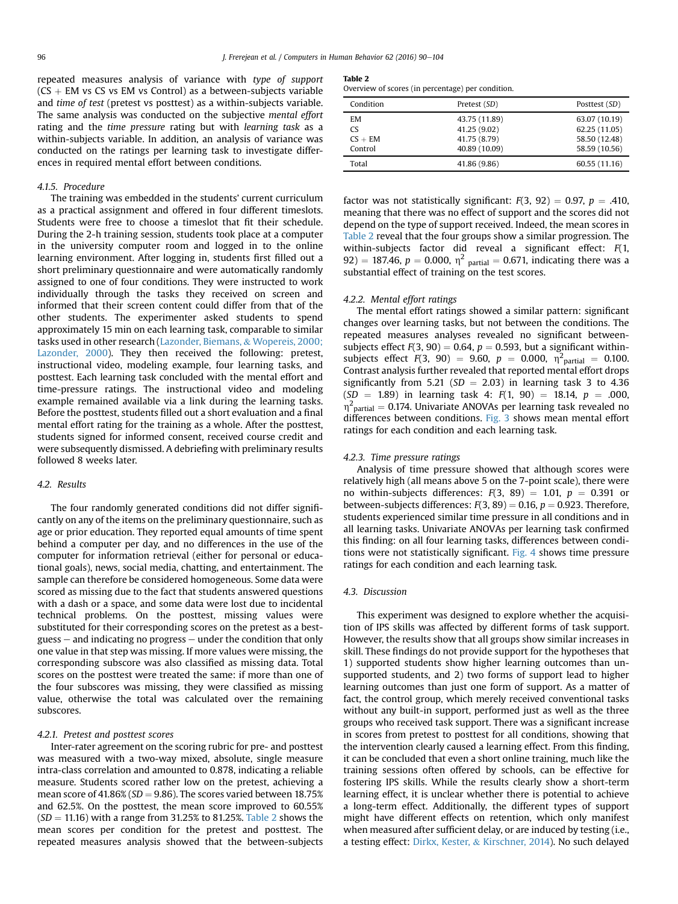repeated measures analysis of variance with type of support  $(CS + EM \text{ vs } CS \text{ vs } EM \text{ vs } Control)$  as a between-subjects variable and time of test (pretest vs posttest) as a within-subjects variable. The same analysis was conducted on the subjective mental effort rating and the time pressure rating but with learning task as a within-subjects variable. In addition, an analysis of variance was conducted on the ratings per learning task to investigate differences in required mental effort between conditions.

## 4.1.5. Procedure

The training was embedded in the students' current curriculum as a practical assignment and offered in four different timeslots. Students were free to choose a timeslot that fit their schedule. During the 2-h training session, students took place at a computer in the university computer room and logged in to the online learning environment. After logging in, students first filled out a short preliminary questionnaire and were automatically randomly assigned to one of four conditions. They were instructed to work individually through the tasks they received on screen and informed that their screen content could differ from that of the other students. The experimenter asked students to spend approximately 15 min on each learning task, comparable to similar tasks used in other research ([Lazonder, Biemans,](#page-13-0) & [Wopereis, 2000;](#page-13-0) [Lazonder, 2000\)](#page-13-0). They then received the following: pretest, instructional video, modeling example, four learning tasks, and posttest. Each learning task concluded with the mental effort and time-pressure ratings. The instructional video and modeling example remained available via a link during the learning tasks. Before the posttest, students filled out a short evaluation and a final mental effort rating for the training as a whole. After the posttest, students signed for informed consent, received course credit and were subsequently dismissed. A debriefing with preliminary results followed 8 weeks later.

#### 4.2. Results

The four randomly generated conditions did not differ significantly on any of the items on the preliminary questionnaire, such as age or prior education. They reported equal amounts of time spent behind a computer per day, and no differences in the use of the computer for information retrieval (either for personal or educational goals), news, social media, chatting, and entertainment. The sample can therefore be considered homogeneous. Some data were scored as missing due to the fact that students answered questions with a dash or a space, and some data were lost due to incidental technical problems. On the posttest, missing values were substituted for their corresponding scores on the pretest as a best $guess -$  and indicating no progress  $-$  under the condition that only one value in that step was missing. If more values were missing, the corresponding subscore was also classified as missing data. Total scores on the posttest were treated the same: if more than one of the four subscores was missing, they were classified as missing value, otherwise the total was calculated over the remaining subscores.

## 4.2.1. Pretest and posttest scores

Inter-rater agreement on the scoring rubric for pre- and posttest was measured with a two-way mixed, absolute, single measure intra-class correlation and amounted to 0.878, indicating a reliable measure. Students scored rather low on the pretest, achieving a mean score of 41.86% ( $SD = 9.86$ ). The scores varied between 18.75% and 62.5%. On the posttest, the mean score improved to 60.55%  $(SD = 11.16)$  with a range from 31.25% to 81.25%. Table 2 shows the mean scores per condition for the pretest and posttest. The repeated measures analysis showed that the between-subjects

### Table 2

Overview of scores (in percentage) per condition.

| Condition | Pretest (SD)  | Posttest (SD) |
|-----------|---------------|---------------|
| <b>EM</b> | 43.75 (11.89) | 63.07 (10.19) |
| <b>CS</b> | 41.25 (9.02)  | 62.25 (11.05) |
| $CS + EM$ | 41.75 (8.79)  | 58.50 (12.48) |
| Control   | 40.89 (10.09) | 58.59 (10.56) |
| Total     | 41.86 (9.86)  | 60.55 (11.16) |
|           |               |               |

factor was not statistically significant:  $F(3, 92) = 0.97$ ,  $p = .410$ . meaning that there was no effect of support and the scores did not depend on the type of support received. Indeed, the mean scores in Table 2 reveal that the four groups show a similar progression. The within-subjects factor did reveal a significant effect:  $F(1, 1)$ 92) = 187.46,  $p = 0.000$ ,  $\eta^2$  partial = 0.671, indicating there was a substantial effect of training on the test scores.

# 4.2.2. Mental effort ratings

The mental effort ratings showed a similar pattern: significant changes over learning tasks, but not between the conditions. The repeated measures analyses revealed no significant betweensubjects effect  $F(3, 90) = 0.64$ ,  $p = 0.593$ , but a significant withinsubjects effect  $F(3, 90) = 9.60$ ,  $p = 0.000$ ,  $\eta^2$ <sub>partial</sub> = 0.100. Contrast analysis further revealed that reported mental effort drops significantly from 5.21 (SD = 2.03) in learning task 3 to 4.36  $(SD = 1.89)$  in learning task 4:  $F(1, 90) = 18.14$ ,  $p = .000$ ,  $\eta^2$ <sub>partial</sub> = 0.174. Univariate ANOVAs per learning task revealed no differences between conditions. [Fig. 3](#page-7-0) shows mean mental effort ratings for each condition and each learning task.

# 4.2.3. Time pressure ratings

Analysis of time pressure showed that although scores were relatively high (all means above 5 on the 7-point scale), there were no within-subjects differences:  $F(3, 89) = 1.01$ ,  $p = 0.391$  or between-subjects differences:  $F(3, 89) = 0.16$ ,  $p = 0.923$ . Therefore, students experienced similar time pressure in all conditions and in all learning tasks. Univariate ANOVAs per learning task confirmed this finding: on all four learning tasks, differences between conditions were not statistically significant. [Fig. 4](#page-7-0) shows time pressure ratings for each condition and each learning task.

## 4.3. Discussion

This experiment was designed to explore whether the acquisition of IPS skills was affected by different forms of task support. However, the results show that all groups show similar increases in skill. These findings do not provide support for the hypotheses that 1) supported students show higher learning outcomes than unsupported students, and 2) two forms of support lead to higher learning outcomes than just one form of support. As a matter of fact, the control group, which merely received conventional tasks without any built-in support, performed just as well as the three groups who received task support. There was a significant increase in scores from pretest to posttest for all conditions, showing that the intervention clearly caused a learning effect. From this finding, it can be concluded that even a short online training, much like the training sessions often offered by schools, can be effective for fostering IPS skills. While the results clearly show a short-term learning effect, it is unclear whether there is potential to achieve a long-term effect. Additionally, the different types of support might have different effects on retention, which only manifest when measured after sufficient delay, or are induced by testing (i.e., a testing effect: [Dirkx, Kester,](#page-13-0) & [Kirschner, 2014](#page-13-0)). No such delayed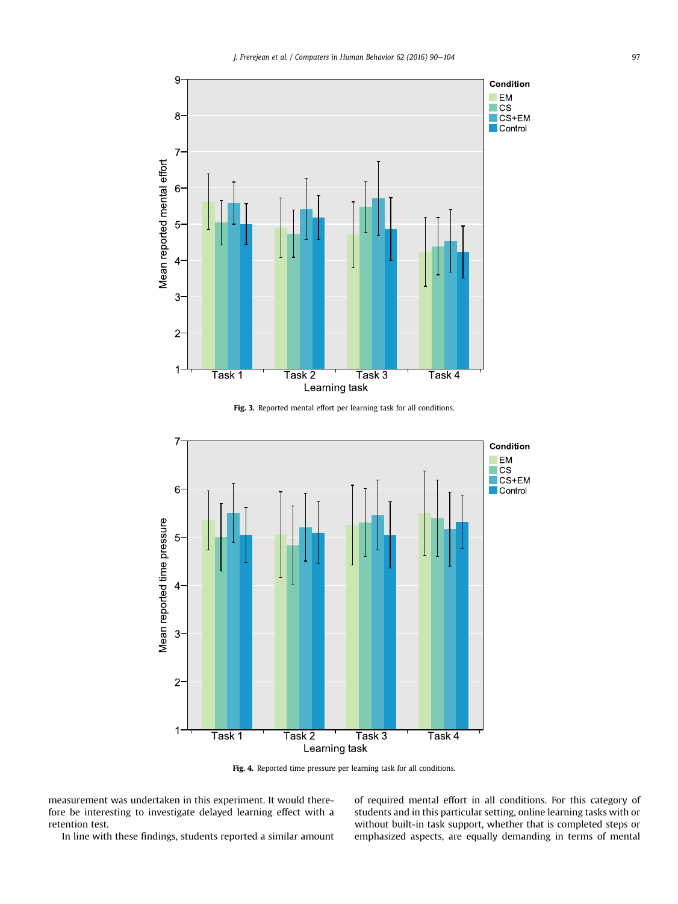<span id="page-7-0"></span>

Fig. 3. Reported mental effort per learning task for all conditions.



Fig. 4. Reported time pressure per learning task for all conditions.

measurement was undertaken in this experiment. It would therefore be interesting to investigate delayed learning effect with a retention test.

In line with these findings, students reported a similar amount

of required mental effort in all conditions. For this category of students and in this particular setting, online learning tasks with or without built-in task support, whether that is completed steps or emphasized aspects, are equally demanding in terms of mental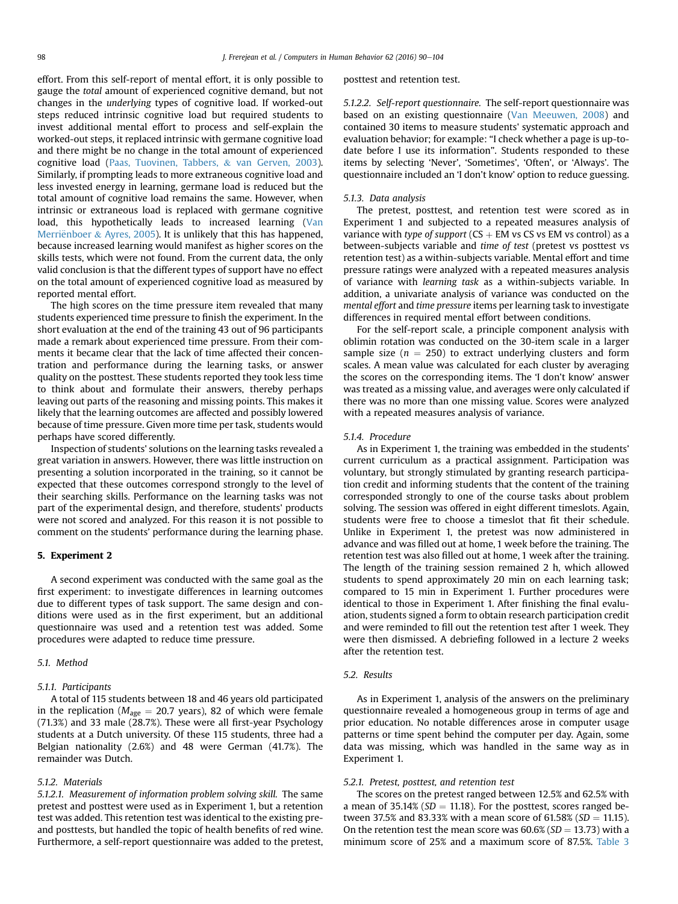effort. From this self-report of mental effort, it is only possible to gauge the total amount of experienced cognitive demand, but not changes in the underlying types of cognitive load. If worked-out steps reduced intrinsic cognitive load but required students to invest additional mental effort to process and self-explain the worked-out steps, it replaced intrinsic with germane cognitive load and there might be no change in the total amount of experienced cognitive load ([Paas, Tuovinen, Tabbers,](#page-14-0) & [van Gerven, 2003\)](#page-14-0). Similarly, if prompting leads to more extraneous cognitive load and less invested energy in learning, germane load is reduced but the total amount of cognitive load remains the same. However, when intrinsic or extraneous load is replaced with germane cognitive load, this hypothetically leads to increased learning [\(Van](#page-14-0) [Merrienboer](#page-14-0)  $&$  [Ayres, 2005\)](#page-14-0). It is unlikely that this has happened, because increased learning would manifest as higher scores on the skills tests, which were not found. From the current data, the only valid conclusion is that the different types of support have no effect on the total amount of experienced cognitive load as measured by reported mental effort.

The high scores on the time pressure item revealed that many students experienced time pressure to finish the experiment. In the short evaluation at the end of the training 43 out of 96 participants made a remark about experienced time pressure. From their comments it became clear that the lack of time affected their concentration and performance during the learning tasks, or answer quality on the posttest. These students reported they took less time to think about and formulate their answers, thereby perhaps leaving out parts of the reasoning and missing points. This makes it likely that the learning outcomes are affected and possibly lowered because of time pressure. Given more time per task, students would perhaps have scored differently.

Inspection of students' solutions on the learning tasks revealed a great variation in answers. However, there was little instruction on presenting a solution incorporated in the training, so it cannot be expected that these outcomes correspond strongly to the level of their searching skills. Performance on the learning tasks was not part of the experimental design, and therefore, students' products were not scored and analyzed. For this reason it is not possible to comment on the students' performance during the learning phase.

# 5. Experiment 2

A second experiment was conducted with the same goal as the first experiment: to investigate differences in learning outcomes due to different types of task support. The same design and conditions were used as in the first experiment, but an additional questionnaire was used and a retention test was added. Some procedures were adapted to reduce time pressure.

# 5.1. Method

## 5.1.1. Participants

A total of 115 students between 18 and 46 years old participated in the replication ( $M_{\text{age}} = 20.7$  years), 82 of which were female (71.3%) and 33 male (28.7%). These were all first-year Psychology students at a Dutch university. Of these 115 students, three had a Belgian nationality (2.6%) and 48 were German (41.7%). The remainder was Dutch.

## 5.1.2. Materials

5.1.2.1. Measurement of information problem solving skill. The same pretest and posttest were used as in Experiment 1, but a retention test was added. This retention test was identical to the existing preand posttests, but handled the topic of health benefits of red wine. Furthermore, a self-report questionnaire was added to the pretest,

#### posttest and retention test.

5.1.2.2. Self-report questionnaire. The self-report questionnaire was based on an existing questionnaire [\(Van Meeuwen, 2008](#page-14-0)) and contained 30 items to measure students' systematic approach and evaluation behavior; for example: "I check whether a page is up-todate before I use its information". Students responded to these items by selecting 'Never', 'Sometimes', 'Often', or 'Always'. The questionnaire included an 'I don't know' option to reduce guessing.

## 5.1.3. Data analysis

The pretest, posttest, and retention test were scored as in Experiment 1 and subjected to a repeated measures analysis of variance with type of support ( $CS + EM$  vs CS vs EM vs control) as a between-subjects variable and time of test (pretest vs posttest vs retention test) as a within-subjects variable. Mental effort and time pressure ratings were analyzed with a repeated measures analysis of variance with learning task as a within-subjects variable. In addition, a univariate analysis of variance was conducted on the mental effort and time pressure items per learning task to investigate differences in required mental effort between conditions.

For the self-report scale, a principle component analysis with oblimin rotation was conducted on the 30-item scale in a larger sample size ( $n = 250$ ) to extract underlying clusters and form scales. A mean value was calculated for each cluster by averaging the scores on the corresponding items. The 'I don't know' answer was treated as a missing value, and averages were only calculated if there was no more than one missing value. Scores were analyzed with a repeated measures analysis of variance.

## 5.1.4. Procedure

As in Experiment 1, the training was embedded in the students' current curriculum as a practical assignment. Participation was voluntary, but strongly stimulated by granting research participation credit and informing students that the content of the training corresponded strongly to one of the course tasks about problem solving. The session was offered in eight different timeslots. Again, students were free to choose a timeslot that fit their schedule. Unlike in Experiment 1, the pretest was now administered in advance and was filled out at home, 1 week before the training. The retention test was also filled out at home, 1 week after the training. The length of the training session remained 2 h, which allowed students to spend approximately 20 min on each learning task; compared to 15 min in Experiment 1. Further procedures were identical to those in Experiment 1. After finishing the final evaluation, students signed a form to obtain research participation credit and were reminded to fill out the retention test after 1 week. They were then dismissed. A debriefing followed in a lecture 2 weeks after the retention test.

# 5.2. Results

As in Experiment 1, analysis of the answers on the preliminary questionnaire revealed a homogeneous group in terms of age and prior education. No notable differences arose in computer usage patterns or time spent behind the computer per day. Again, some data was missing, which was handled in the same way as in Experiment 1.

#### 5.2.1. Pretest, posttest, and retention test

The scores on the pretest ranged between 12.5% and 62.5% with a mean of 35.14% ( $SD = 11.18$ ). For the posttest, scores ranged between 37.5% and 83.33% with a mean score of 61.58% (SD = 11.15). On the retention test the mean score was  $60.6\%$  (SD = 13.73) with a minimum score of 25% and a maximum score of 87.5%. [Table 3](#page-9-0)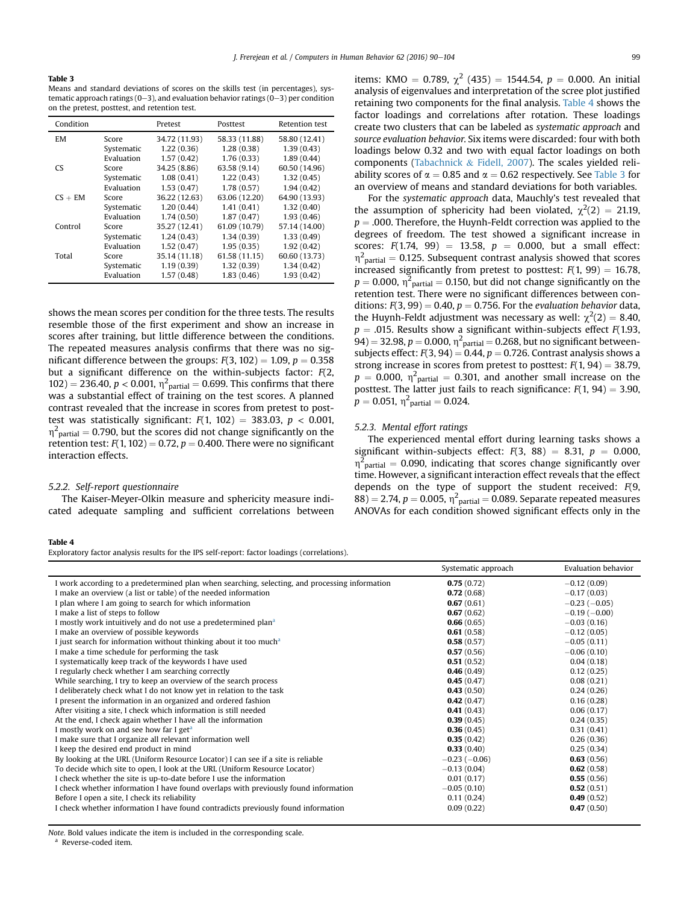### <span id="page-9-0"></span>Table 3

Means and standard deviations of scores on the skills test (in percentages), systematic approach ratings (0-3), and evaluation behavior ratings (0-3) per condition on the pretest, posttest, and retention test.

| Condition |            | Pretest       | Posttest      | Retention test |
|-----------|------------|---------------|---------------|----------------|
| <b>EM</b> | Score      | 34.72 (11.93) | 58.33 (11.88) | 58.80 (12.41)  |
|           | Systematic | 1.22(0.36)    | 1.28(0.38)    | 1.39(0.43)     |
|           | Evaluation | 1.57(0.42)    | 1.76(0.33)    | 1.89(0.44)     |
| CS.       | Score      | 34.25 (8.86)  | 63.58 (9.14)  | 60.50 (14.96)  |
|           | Systematic | 1.08(0.41)    | 1.22(0.43)    | 1.32(0.45)     |
|           | Evaluation | 1.53(0.47)    | 1.78(0.57)    | 1.94(0.42)     |
| $CS + EM$ | Score      | 36.22 (12.63) | 63.06 (12.20) | 64.90 (13.93)  |
|           | Systematic | 1.20(0.44)    | 1.41(0.41)    | 1.32(0.40)     |
|           | Evaluation | 1.74(0.50)    | 1.87(0.47)    | 1.93(0.46)     |
| Control   | Score      | 35.27 (12.41) | 61.09 (10.79) | 57.14 (14.00)  |
|           | Systematic | 1.24(0.43)    | 1.34(0.39)    | 1.33(0.49)     |
|           | Evaluation | 1.52(0.47)    | 1.95(0.35)    | 1.92(0.42)     |
| Total     | Score      | 35.14 (11.18) | 61.58 (11.15) | 60.60 (13.73)  |
|           | Systematic | 1.19(0.39)    | 1.32(0.39)    | 1.34(0.42)     |
|           | Evaluation | 1.57(0.48)    | 1.83(0.46)    | 1.93(0.42)     |

shows the mean scores per condition for the three tests. The results resemble those of the first experiment and show an increase in scores after training, but little difference between the conditions. The repeated measures analysis confirms that there was no significant difference between the groups:  $F(3, 102) = 1.09$ ,  $p = 0.358$ but a significant difference on the within-subjects factor: F(2,  $102$ ) = 236.40, p < 0.001,  $\eta^2$ <sub>partial</sub> = 0.699. This confirms that there was a substantial effect of training on the test scores. A planned contrast revealed that the increase in scores from pretest to posttest was statistically significant:  $F(1, 102) = 383.03$ ,  $p < 0.001$ ,  $\eta^2$ <sub>partial</sub> = 0.790, but the scores did not change significantly on the retention test:  $F(1, 102) = 0.72$ ,  $p = 0.400$ . There were no significant interaction effects.

## 5.2.2. Self-report questionnaire

The Kaiser-Meyer-Olkin measure and sphericity measure indicated adequate sampling and sufficient correlations between items: KMO = 0.789,  $\chi^2$  (435) = 1544.54, p = 0.000. An initial analysis of eigenvalues and interpretation of the scree plot justified retaining two components for the final analysis. Table 4 shows the factor loadings and correlations after rotation. These loadings create two clusters that can be labeled as systematic approach and source evaluation behavior. Six items were discarded: four with both loadings below 0.32 and two with equal factor loadings on both components ([Tabachnick](#page-14-0) & [Fidell, 2007\)](#page-14-0). The scales yielded reliability scores of  $\alpha = 0.85$  and  $\alpha = 0.62$  respectively. See Table 3 for an overview of means and standard deviations for both variables.

For the systematic approach data, Mauchly's test revealed that the assumption of sphericity had been violated,  $\chi^2(2) = 21.19$ ,  $p = .000$ . Therefore, the Huynh-Feldt correction was applied to the degrees of freedom. The test showed a significant increase in scores:  $F(1.74, 99) = 13.58, p = 0.000, but a small effect:$  $\eta^2$ <sub>partial</sub> = 0.125. Subsequent contrast analysis showed that scores increased significantly from pretest to posttest:  $F(1, 99) = 16.78$ ,  $p = 0.000$ ,  $\eta^2$ <sub>partial</sub> = 0.150, but did not change significantly on the retention test. There were no significant differences between conditions:  $F(3, 99) = 0.40$ ,  $p = 0.756$ . For the evaluation behavior data, the Huynh-Feldt adjustment was necessary as well:  $\chi^2(2) = 8.40$ ,  $p = .015$ . Results show a significant within-subjects effect  $F(1.93, 1.01)$ 94) = 32.98,  $p = 0.000$ ,  $\eta^2$ <sub>partial</sub> = 0.268, but no significant betweensubjects effect:  $F(3, 94) = 0.44$ ,  $p = 0.726$ . Contrast analysis shows a strong increase in scores from pretest to posttest:  $F(1, 94) = 38.79$ ,  $p = 0.000$ ,  $\eta^2$ <sub>partial</sub> = 0.301, and another small increase on the posttest. The latter just fails to reach significance:  $F(1, 94) = 3.90$ ,  $p = 0.051$ ,  $\eta^2$ <sub>partial</sub> = 0.024.

# 5.2.3. Mental effort ratings

The experienced mental effort during learning tasks shows a significant within-subjects effect:  $F(3, 88) = 8.31$ ,  $p = 0.000$ ,  $\eta^2$ <sub>partial</sub> = 0.090, indicating that scores change significantly over time. However, a significant interaction effect reveals that the effect depends on the type of support the student received: F(9, 88) = 2.74,  $p = 0.005$ ,  $\eta^2$ <sub>partial</sub> = 0.089. Separate repeated measures ANOVAs for each condition showed significant effects only in the

### Table 4

Exploratory factor analysis results for the IPS self-report: factor loadings (correlations).

|                                                                                                | Systematic approach | Evaluation behavior |
|------------------------------------------------------------------------------------------------|---------------------|---------------------|
| I work according to a predetermined plan when searching, selecting, and processing information | 0.75(0.72)          | $-0.12(0.09)$       |
| I make an overview (a list or table) of the needed information                                 | 0.72(0.68)          | $-0.17(0.03)$       |
| I plan where I am going to search for which information                                        | 0.67(0.61)          | $-0.23(-0.05)$      |
| I make a list of steps to follow                                                               | 0.67(0.62)          | $-0.19(-0.00)$      |
| I mostly work intuitively and do not use a predetermined plan <sup>a</sup>                     | 0.66(0.65)          | $-0.03(0.16)$       |
| I make an overview of possible keywords                                                        | 0.61(0.58)          | $-0.12(0.05)$       |
| I just search for information without thinking about it too much <sup>a</sup>                  | 0.58(0.57)          | $-0.05(0.11)$       |
| I make a time schedule for performing the task                                                 | 0.57(0.56)          | $-0.06(0.10)$       |
| I systematically keep track of the keywords I have used                                        | 0.51(0.52)          | 0.04(0.18)          |
| I regularly check whether I am searching correctly                                             | 0.46(0.49)          | 0.12(0.25)          |
| While searching, I try to keep an overview of the search process                               | 0.45(0.47)          | 0.08(0.21)          |
| I deliberately check what I do not know yet in relation to the task                            | 0.43(0.50)          | 0.24(0.26)          |
| I present the information in an organized and ordered fashion                                  | 0.42(0.47)          | 0.16(0.28)          |
| After visiting a site, I check which information is still needed                               | 0.41(0.43)          | 0.06(0.17)          |
| At the end, I check again whether I have all the information                                   | 0.39(0.45)          | 0.24(0.35)          |
| I mostly work on and see how far I get <sup>a</sup>                                            | 0.36(0.45)          | 0.31(0.41)          |
| I make sure that I organize all relevant information well                                      | 0.35(0.42)          | 0.26(0.36)          |
| I keep the desired end product in mind                                                         | 0.33(0.40)          | 0.25(0.34)          |
| By looking at the URL (Uniform Resource Locator) I can see if a site is reliable               | $-0.23$ ( $-0.06$ ) | 0.63(0.56)          |
| To decide which site to open, I look at the URL (Uniform Resource Locator)                     | $-0.13(0.04)$       | 0.62(0.58)          |
| I check whether the site is up-to-date before I use the information                            | 0.01(0.17)          | 0.55(0.56)          |
| I check whether information I have found overlaps with previously found information            | $-0.05(0.10)$       | 0.52(0.51)          |
| Before I open a site, I check its reliability                                                  | 0.11(0.24)          | 0.49(0.52)          |
| I check whether information I have found contradicts previously found information              | 0.09(0.22)          | 0.47(0.50)          |

Note. Bold values indicate the item is included in the corresponding scale. Reverse-coded item.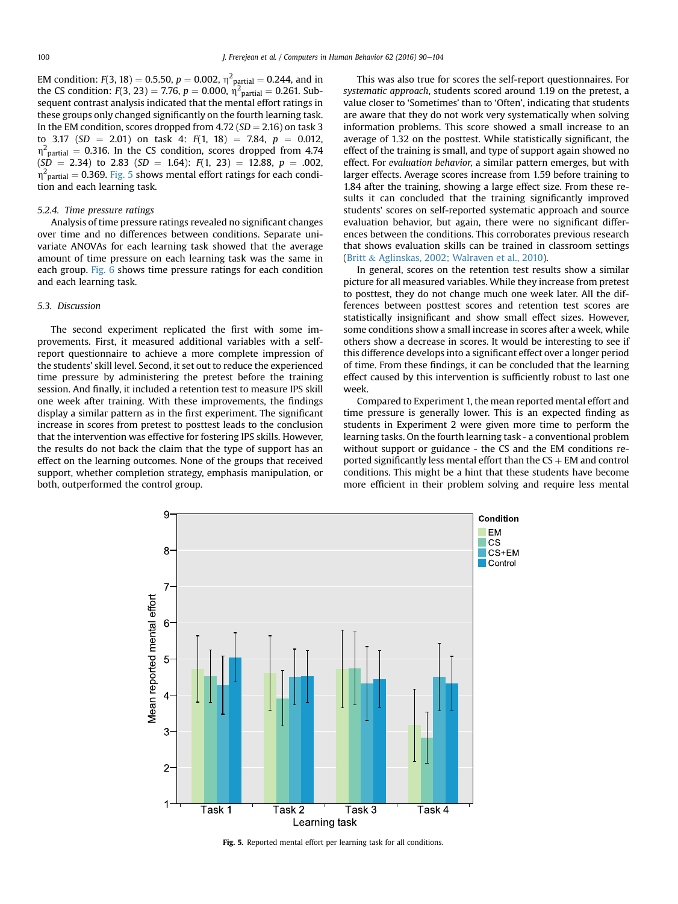EM condition:  $F(3, 18) = 0.5.50$ ,  $p = 0.002$ ,  $\eta^2_{\text{partial}} = 0.244$ , and in the CS condition:  $F(3, 23) = 7.76$ ,  $p = 0.000$ ,  $\eta^2$ <sub>partial</sub> = 0.261. Subsequent contrast analysis indicated that the mental effort ratings in these groups only changed significantly on the fourth learning task. In the EM condition, scores dropped from  $4.72$  (SD = 2.16) on task 3 to 3.17 (SD = 2.01) on task 4:  $F(1, 18) = 7.84$ ,  $p = 0.012$ ,  $\eta^2$ <sub>partial</sub> = 0.316. In the CS condition, scores dropped from 4.74  $(SD = 2.34)$  to 2.83  $(SD = 1.64)$ :  $F(1, 23) = 12.88$ ,  $p = .002$ ,  $\eta^2$ <sub>partial</sub> = 0.369. Fig. 5 shows mental effort ratings for each condition and each learning task.

## 5.2.4. Time pressure ratings

Analysis of time pressure ratings revealed no significant changes over time and no differences between conditions. Separate univariate ANOVAs for each learning task showed that the average amount of time pressure on each learning task was the same in each group. [Fig. 6](#page-11-0) shows time pressure ratings for each condition and each learning task.

## 5.3. Discussion

The second experiment replicated the first with some improvements. First, it measured additional variables with a selfreport questionnaire to achieve a more complete impression of the students' skill level. Second, it set out to reduce the experienced time pressure by administering the pretest before the training session. And finally, it included a retention test to measure IPS skill one week after training. With these improvements, the findings display a similar pattern as in the first experiment. The significant increase in scores from pretest to posttest leads to the conclusion that the intervention was effective for fostering IPS skills. However, the results do not back the claim that the type of support has an effect on the learning outcomes. None of the groups that received support, whether completion strategy, emphasis manipulation, or both, outperformed the control group.

This was also true for scores the self-report questionnaires. For systematic approach, students scored around 1.19 on the pretest, a value closer to 'Sometimes' than to 'Often', indicating that students are aware that they do not work very systematically when solving information problems. This score showed a small increase to an average of 1.32 on the posttest. While statistically significant, the effect of the training is small, and type of support again showed no effect. For evaluation behavior, a similar pattern emerges, but with larger effects. Average scores increase from 1.59 before training to 1.84 after the training, showing a large effect size. From these results it can concluded that the training significantly improved students' scores on self-reported systematic approach and source evaluation behavior, but again, there were no significant differences between the conditions. This corroborates previous research that shows evaluation skills can be trained in classroom settings ([Britt](#page-13-0) & [Aglinskas, 2002; Walraven et al., 2010](#page-13-0)).

In general, scores on the retention test results show a similar picture for all measured variables. While they increase from pretest to posttest, they do not change much one week later. All the differences between posttest scores and retention test scores are statistically insignificant and show small effect sizes. However, some conditions show a small increase in scores after a week, while others show a decrease in scores. It would be interesting to see if this difference develops into a significant effect over a longer period of time. From these findings, it can be concluded that the learning effect caused by this intervention is sufficiently robust to last one week.

Compared to Experiment 1, the mean reported mental effort and time pressure is generally lower. This is an expected finding as students in Experiment 2 were given more time to perform the learning tasks. On the fourth learning task - a conventional problem without support or guidance - the CS and the EM conditions reported significantly less mental effort than the  $CS + EM$  and control conditions. This might be a hint that these students have become more efficient in their problem solving and require less mental



Fig. 5. Reported mental effort per learning task for all conditions.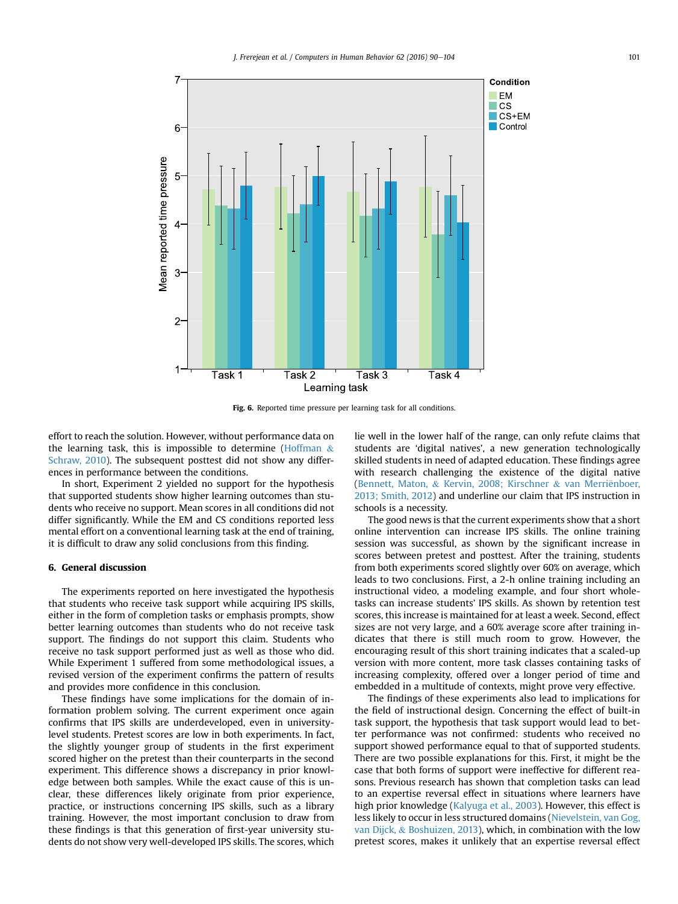<span id="page-11-0"></span>

Fig. 6. Reported time pressure per learning task for all conditions.

effort to reach the solution. However, without performance data on the learning task, this is impossible to determine ([Hoffman](#page-13-0)  $\&$ [Schraw, 2010](#page-13-0)). The subsequent posttest did not show any differences in performance between the conditions.

In short, Experiment 2 yielded no support for the hypothesis that supported students show higher learning outcomes than students who receive no support. Mean scores in all conditions did not differ significantly. While the EM and CS conditions reported less mental effort on a conventional learning task at the end of training, it is difficult to draw any solid conclusions from this finding.

## 6. General discussion

The experiments reported on here investigated the hypothesis that students who receive task support while acquiring IPS skills, either in the form of completion tasks or emphasis prompts, show better learning outcomes than students who do not receive task support. The findings do not support this claim. Students who receive no task support performed just as well as those who did. While Experiment 1 suffered from some methodological issues, a revised version of the experiment confirms the pattern of results and provides more confidence in this conclusion.

These findings have some implications for the domain of information problem solving. The current experiment once again confirms that IPS skills are underdeveloped, even in universitylevel students. Pretest scores are low in both experiments. In fact, the slightly younger group of students in the first experiment scored higher on the pretest than their counterparts in the second experiment. This difference shows a discrepancy in prior knowledge between both samples. While the exact cause of this is unclear, these differences likely originate from prior experience, practice, or instructions concerning IPS skills, such as a library training. However, the most important conclusion to draw from these findings is that this generation of first-year university students do not show very well-developed IPS skills. The scores, which lie well in the lower half of the range, can only refute claims that students are 'digital natives', a new generation technologically skilled students in need of adapted education. These findings agree with research challenging the existence of the digital native ([Bennett, Maton,](#page-13-0) & [Kervin, 2008; Kirschner](#page-13-0) & van Merriënboer, [2013; Smith, 2012](#page-13-0)) and underline our claim that IPS instruction in schools is a necessity.

The good news is that the current experiments show that a short online intervention can increase IPS skills. The online training session was successful, as shown by the significant increase in scores between pretest and posttest. After the training, students from both experiments scored slightly over 60% on average, which leads to two conclusions. First, a 2-h online training including an instructional video, a modeling example, and four short wholetasks can increase students' IPS skills. As shown by retention test scores, this increase is maintained for at least a week. Second, effect sizes are not very large, and a 60% average score after training indicates that there is still much room to grow. However, the encouraging result of this short training indicates that a scaled-up version with more content, more task classes containing tasks of increasing complexity, offered over a longer period of time and embedded in a multitude of contexts, might prove very effective.

The findings of these experiments also lead to implications for the field of instructional design. Concerning the effect of built-in task support, the hypothesis that task support would lead to better performance was not confirmed: students who received no support showed performance equal to that of supported students. There are two possible explanations for this. First, it might be the case that both forms of support were ineffective for different reasons. Previous research has shown that completion tasks can lead to an expertise reversal effect in situations where learners have high prior knowledge [\(Kalyuga et al., 2003](#page-13-0)). However, this effect is less likely to occur in less structured domains ([Nievelstein, van Gog,](#page-13-0) [van Dijck,](#page-13-0) & [Boshuizen, 2013](#page-13-0)), which, in combination with the low pretest scores, makes it unlikely that an expertise reversal effect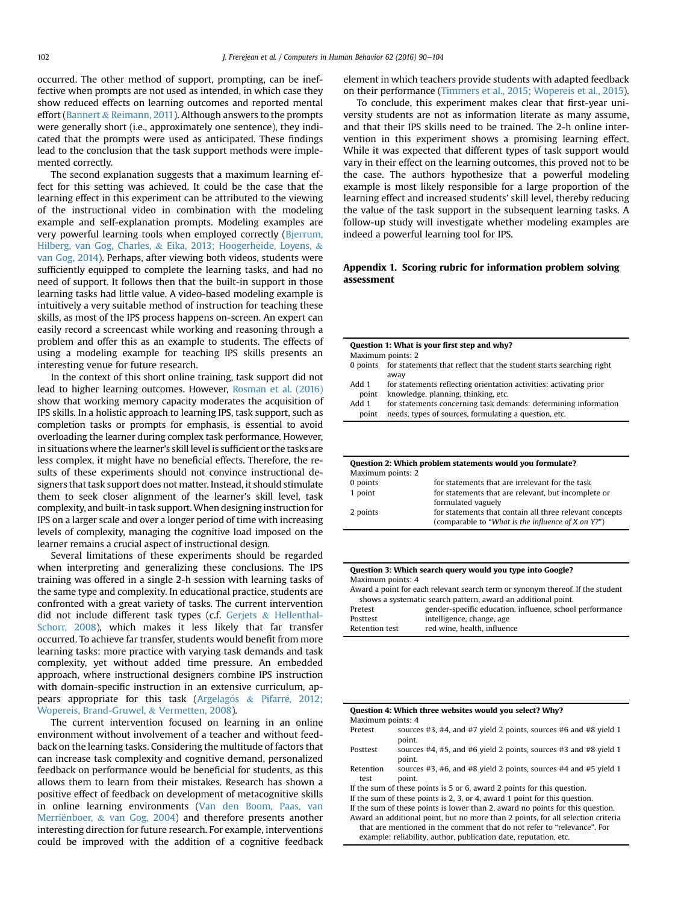<span id="page-12-0"></span>occurred. The other method of support, prompting, can be ineffective when prompts are not used as intended, in which case they show reduced effects on learning outcomes and reported mental effort [\(Bannert](#page-13-0) & [Reimann, 2011\)](#page-13-0). Although answers to the prompts were generally short (i.e., approximately one sentence), they indicated that the prompts were used as anticipated. These findings lead to the conclusion that the task support methods were implemented correctly.

The second explanation suggests that a maximum learning effect for this setting was achieved. It could be the case that the learning effect in this experiment can be attributed to the viewing of the instructional video in combination with the modeling example and self-explanation prompts. Modeling examples are very powerful learning tools when employed correctly ([Bjerrum,](#page-13-0) [Hilberg, van Gog, Charles,](#page-13-0) & [Eika, 2013; Hoogerheide, Loyens,](#page-13-0) & [van Gog, 2014\)](#page-13-0). Perhaps, after viewing both videos, students were sufficiently equipped to complete the learning tasks, and had no need of support. It follows then that the built-in support in those learning tasks had little value. A video-based modeling example is intuitively a very suitable method of instruction for teaching these skills, as most of the IPS process happens on-screen. An expert can easily record a screencast while working and reasoning through a problem and offer this as an example to students. The effects of using a modeling example for teaching IPS skills presents an interesting venue for future research.

In the context of this short online training, task support did not lead to higher learning outcomes. However, [Rosman et al. \(2016\)](#page-14-0) show that working memory capacity moderates the acquisition of IPS skills. In a holistic approach to learning IPS, task support, such as completion tasks or prompts for emphasis, is essential to avoid overloading the learner during complex task performance. However, in situations where the learner's skill level is sufficient or the tasks are less complex, it might have no beneficial effects. Therefore, the results of these experiments should not convince instructional designers that task support does not matter. Instead, it should stimulate them to seek closer alignment of the learner's skill level, task complexity, and built-in task support.When designing instruction for IPS on a larger scale and over a longer period of time with increasing levels of complexity, managing the cognitive load imposed on the learner remains a crucial aspect of instructional design.

Several limitations of these experiments should be regarded when interpreting and generalizing these conclusions. The IPS training was offered in a single 2-h session with learning tasks of the same type and complexity. In educational practice, students are confronted with a great variety of tasks. The current intervention did not include different task types (c.f. [Gerjets](#page-13-0) & [Hellenthal-](#page-13-0)[Schorr, 2008\)](#page-13-0), which makes it less likely that far transfer occurred. To achieve far transfer, students would benefit from more learning tasks: more practice with varying task demands and task complexity, yet without added time pressure. An embedded approach, where instructional designers combine IPS instruction with domain-specific instruction in an extensive curriculum, ap-pears appropriate for this task (Argelagós & [Pifarr](#page-13-0)é[, 2012;](#page-13-0) [Wopereis, Brand-Gruwel,](#page-13-0) & [Vermetten, 2008\)](#page-13-0).

The current intervention focused on learning in an online environment without involvement of a teacher and without feedback on the learning tasks. Considering the multitude of factors that can increase task complexity and cognitive demand, personalized feedback on performance would be beneficial for students, as this allows them to learn from their mistakes. Research has shown a positive effect of feedback on development of metacognitive skills in online learning environments ([Van den Boom, Paas, van](#page-14-0) [Merrienboer,](#page-14-0) & [van Gog, 2004](#page-14-0)) and therefore presents another interesting direction for future research. For example, interventions could be improved with the addition of a cognitive feedback element in which teachers provide students with adapted feedback on their performance ([Timmers et al., 2015; Wopereis et al., 2015\)](#page-14-0).

To conclude, this experiment makes clear that first-year university students are not as information literate as many assume, and that their IPS skills need to be trained. The 2-h online intervention in this experiment shows a promising learning effect. While it was expected that different types of task support would vary in their effect on the learning outcomes, this proved not to be the case. The authors hypothesize that a powerful modeling example is most likely responsible for a large proportion of the learning effect and increased students' skill level, thereby reducing the value of the task support in the subsequent learning tasks. A follow-up study will investigate whether modeling examples are indeed a powerful learning tool for IPS.

# Appendix 1. Scoring rubric for information problem solving assessment

| Question 1: What is your first step and why?                        |  |  |  |
|---------------------------------------------------------------------|--|--|--|
|                                                                     |  |  |  |
|                                                                     |  |  |  |
|                                                                     |  |  |  |
|                                                                     |  |  |  |
|                                                                     |  |  |  |
| for statements concerning task demands: determining information     |  |  |  |
|                                                                     |  |  |  |
|                                                                     |  |  |  |
| for statements that reflect that the student starts searching right |  |  |  |

| Question 2: Which problem statements would you formulate? |                                                         |  |  |
|-----------------------------------------------------------|---------------------------------------------------------|--|--|
| Maximum points: 2                                         |                                                         |  |  |
| 0 points                                                  | for statements that are irrelevant for the task         |  |  |
| 1 point                                                   | for statements that are relevant, but incomplete or     |  |  |
|                                                           | formulated vaguely                                      |  |  |
| 2 points                                                  | for statements that contain all three relevant concepts |  |  |
|                                                           | (comparable to "What is the influence of X on Y?")      |  |  |
|                                                           |                                                         |  |  |

|                                                                                | Question 3: Which search query would you type into Google? |  |
|--------------------------------------------------------------------------------|------------------------------------------------------------|--|
| Maximum points: 4                                                              |                                                            |  |
| Award a point for each relevant search term or synonym thereof. If the student |                                                            |  |
| shows a systematic search pattern, award an additional point.                  |                                                            |  |
| Pretest                                                                        | gender-specific education, influence, school performance   |  |
| Posttest                                                                       | intelligence, change, age                                  |  |
| Retention test                                                                 | red wine, health, influence                                |  |
|                                                                                |                                                            |  |

| Question 4: Which three websites would you select? Why? |  |
|---------------------------------------------------------|--|
|---------------------------------------------------------|--|

Maximum points: 4

- Pretest sources #3, #4, and #7 yield 2 points, sources #6 and #8 yield 1 point.
- Posttest sources #4, #5, and #6 yield 2 points, sources #3 and #8 yield 1 point.
- Retention test sources #3, #6, and #8 yield 2 points, sources #4 and #5 yield 1 point.
- If the sum of these points is 5 or 6, award 2 points for this question.
- If the sum of these points is 2, 3, or 4, award 1 point for this question.

If the sum of these points is lower than 2, award no points for this question. Award an additional point, but no more than 2 points, for all selection criteria that are mentioned in the comment that do not refer to "relevance". For

example: reliability, author, publication date, reputation, etc.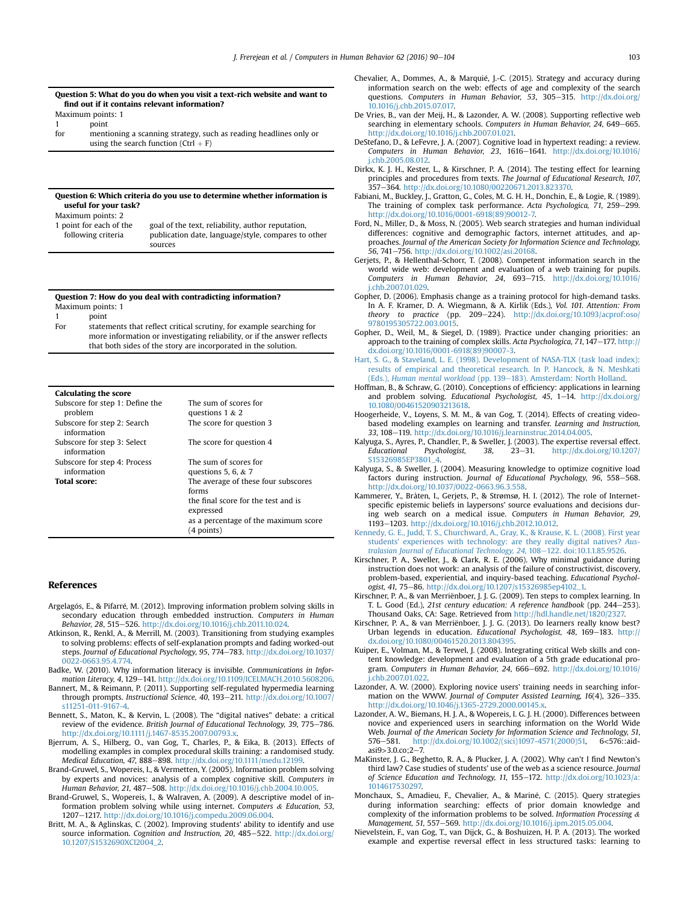# <span id="page-13-0"></span>Question 5: What do you do when you visit a text-rich website and want to find out if it contains relevant information?

Maximum points: 1

- 1 point
- for mentioning a scanning strategy, such as reading headlines only or using the search function  $(Ctrl + F)$

## Question 6: Which criteria do you use to determine whether information is useful for your task?

Maximum points: 2

1 point for each of the following criteria goal of the text, reliability, author reputation, publication date, language/style, compares to other sources

#### Question 7: How do you deal with contradicting information?

Maximum points: 1

1 point

For statements that reflect critical scrutiny, for example searching for more information or investigating reliability, or if the answer reflects that both sides of the story are incorporated in the solution.

#### Calculating the score

| Subscore for step 1: Define the<br>problem  | The sum of scores for<br>questions $1 & 2$           |
|---------------------------------------------|------------------------------------------------------|
| Subscore for step 2: Search<br>information  | The score for question 3                             |
| Subscore for step 3: Select<br>information  | The score for question 4                             |
| Subscore for step 4: Process<br>information | The sum of scores for<br>questions 5, 6, $& 7$       |
| <b>Total score:</b>                         | The average of these four subscores<br>forms         |
|                                             | the final score for the test and is<br>expressed     |
|                                             | as a percentage of the maximum score<br>$(4$ points) |

#### References

- Argelagós, E., & Pifarré, M. (2012). Improving information problem solving skills in secondary education through embedded instruction. Computers in Human Behavior, 28, 515-526. [http://dx.doi.org/10.1016/j.chb.2011.10.024.](http://dx.doi.org/10.1016/j.chb.2011.10.024)
- Atkinson, R., Renkl, A., & Merrill, M. (2003). Transitioning from studying examples to solving problems: effects of self-explanation prompts and fading worked-out steps. Journal of Educational Psychology, 95, 774-783. [http://dx.doi.org/10.1037/](http://dx.doi.org/10.1037/0022-0663.95.4.774) [0022-0663.95.4.774.](http://dx.doi.org/10.1037/0022-0663.95.4.774)
- Badke, W. (2010). Why information literacy is invisible. Communications in Information Literacy, 4, 129-141. <http://dx.doi.org/10.1109/ICELMACH.2010.5608206>.
- Bannert, M., & Reimann, P. (2011). Supporting self-regulated hypermedia learning through prompts. Instructional Science, 40, 193-211. [http://dx.doi.org/10.1007/](http://dx.doi.org/10.1007/s11251-011-9167-4) [s11251-011-9167-4.](http://dx.doi.org/10.1007/s11251-011-9167-4)
- Bennett, S., Maton, K., & Kervin, L. (2008). The "digital natives" debate: a critical review of the evidence. British Journal of Educational Technology, 39, 775-786. [http://dx.doi.org/10.1111/j.1467-8535.2007.00793.x.](http://dx.doi.org/10.1111/j.1467-8535.2007.00793.x)
- Bjerrum, A. S., Hilberg, O., van Gog, T., Charles, P., & Eika, B. (2013). Effects of modelling examples in complex procedural skills training: a randomised study. Medical Education, 47, 888-898. <http://dx.doi.org/10.1111/medu.12199>.
- Brand-Gruwel, S., Wopereis, I., & Vermetten, Y. (2005). Information problem solving by experts and novices: analysis of a complex cognitive skill. Computers in<br>Human Behavior, 21, 487–508. <http://dx.doi.org/10.1016/j.chb.2004.10.005>.
- Brand-Gruwel, S., Wopereis, I., & Walraven, A. (2009). A descriptive model of information problem solving while using internet. Computers & Education, 53, 1207-1217. <http://dx.doi.org/10.1016/j.compedu.2009.06.004>.
- Britt, M. A., & Aglinskas, C. (2002). Improving students' ability to identify and use source information. Cognition and Instruction, 20, 485-522. [http://dx.doi.org/](http://dx.doi.org/10.1207/S1532690XCI2004_2) [10.1207/S1532690XCI2004\\_2](http://dx.doi.org/10.1207/S1532690XCI2004_2).
- Chevalier, A., Dommes, A., & Marquié, J.-C. (2015). Strategy and accuracy during information search on the web: effects of age and complexity of the search questions. Computers in Human Behavior, 53, 305-315. [http://dx.doi.org/](http://dx.doi.org/10.1016/j.chb.2015.07.017) [10.1016/j.chb.2015.07.017.](http://dx.doi.org/10.1016/j.chb.2015.07.017)
- De Vries, B., van der Meij, H., & Lazonder, A. W. (2008). Supporting reflective web searching in elementary schools. Computers in Human Behavior, 24, 649–665. [http://dx.doi.org/10.1016/j.chb.2007.01.021.](http://dx.doi.org/10.1016/j.chb.2007.01.021)
- DeStefano, D., & LeFevre, J. A. (2007). Cognitive load in hypertext reading: a review. Computers in Human Behavior, 23, 1616-1641. [http://dx.doi.org/10.1016/](http://dx.doi.org/10.1016/j.chb.2005.08.012) [j.chb.2005.08.012](http://dx.doi.org/10.1016/j.chb.2005.08.012).
- Dirkx, K. J. H., Kester, L., & Kirschner, P. A. (2014). The testing effect for learning principles and procedures from texts. The Journal of Educational Research, 107, 357-364. [http://dx.doi.org/10.1080/00220671.2013.823370.](http://dx.doi.org/10.1080/00220671.2013.823370)
- Fabiani, M., Buckley, J., Gratton, G., Coles, M. G. H. H., Donchin, E., & Logie, R. (1989). The training of complex task performance. Acta Psychologica, 71, 259-299. [http://dx.doi.org/10.1016/0001-6918\(89\)90012-7.](http://dx.doi.org/10.1016/0001-6918(89)90012-7)
- Ford, N., Miller, D., & Moss, N. (2005). Web search strategies and human individual differences: cognitive and demographic factors, internet attitudes, and approaches. Journal of the American Society for Information Science and Technology,  $56.741 - 756.$  <http://dx.doi.org/10.1002/asi.20168>.
- Gerjets, P., & Hellenthal-Schorr, T. (2008). Competent information search in the world wide web: development and evaluation of a web training for pupils. Computers in Human Behavior, 24, 693-715. [http://dx.doi.org/10.1016/](http://dx.doi.org/10.1016/j.chb.2007.01.029) [j.chb.2007.01.029](http://dx.doi.org/10.1016/j.chb.2007.01.029).
- Gopher, D. (2006). Emphasis change as a training protocol for high-demand tasks. In A. F. Kramer, D. A. Wiegmann, & A. Kirlik (Eds.), Vol. 101. Attention: From t**heory to practice (pp. 209–224).** http://dx.doi.org/10.1093/acprof:oso<sub>/</sub><br>[9780195305722.003.0015](http://dx.doi.org/10.1093/acprof:oso/9780195305722.003.0015).
- Gopher, D., Weil, M., & Siegel, D. (1989). Practice under changing priorities: an approach to the training of complex skills. Acta Psychologica, 71, 147-177. [http://](http://dx.doi.org/10.1016/0001-6918(89)90007-3) [dx.doi.org/10.1016/0001-6918\(89\)90007-3](http://dx.doi.org/10.1016/0001-6918(89)90007-3).
- [Hart, S. G., & Staveland, L. E. \(1998\). Development of NASA-TLX \(task load index\):](http://refhub.elsevier.com/S0747-5632(16)30219-9/sref19) [results of empirical and theoretical research. In P. Hancock, & N. Meshkati](http://refhub.elsevier.com/S0747-5632(16)30219-9/sref19) (Eds.), [Human mental workload](http://refhub.elsevier.com/S0747-5632(16)30219-9/sref19) (pp. 139-[183\). Amsterdam: North Holland](http://refhub.elsevier.com/S0747-5632(16)30219-9/sref19).
- Hoffman, B., & Schraw, G. (2010). Conceptions of efficiency: applications in learning and problem solving. Educational Psychologist, 45, 1-14. [http://dx.doi.org/](http://dx.doi.org/10.1080/00461520903213618) [10.1080/00461520903213618.](http://dx.doi.org/10.1080/00461520903213618)
- Hoogerheide, V., Loyens, S. M. M., & van Gog, T. (2014). Effects of creating videobased modeling examples on learning and transfer. Learning and Instruction, 33, 108-119. <http://dx.doi.org/10.1016/j.learninstruc.2014.04.005>.
- Kalyuga, S., Ayres, P., Chandler, P., & Sweller, J. (2003). The expertise reversal effect. Educational Psychologist, 38, 23-31. http://dx.doi.org/10.1207 [S15326985EP3801\\_4](http://dx.doi.org/10.1207/S15326985EP3801_4).
- Kalyuga, S., & Sweller, J. (2004). Measuring knowledge to optimize cognitive load factors during instruction. Journal of Educational Psychology, 96, 558-568. <http://dx.doi.org/10.1037/0022-0663.96.3.558>.
- Kammerer, Y., Bråten, I., Gerjets, P., & Strømsø, H. I. (2012). The role of Internetspecific epistemic beliefs in laypersons' source evaluations and decisions during web search on a medical issue. Computers in Human Behavior, 29, 1193e1203. [http://dx.doi.org/10.1016/j.chb.2012.10.012.](http://dx.doi.org/10.1016/j.chb.2012.10.012)
- [Kennedy, G. E., Judd, T. S., Churchward, A., Gray, K., & Krause, K. L. \(2008\). First year](http://refhub.elsevier.com/S0747-5632(16)30219-9/sref25) [students' experiences with technology: are they really digital natives?](http://refhub.elsevier.com/S0747-5632(16)30219-9/sref25) Aus[tralasian Journal of Educational Technology, 24](http://refhub.elsevier.com/S0747-5632(16)30219-9/sref25), 108-[122. doi:10.1.1.85.9526.](http://refhub.elsevier.com/S0747-5632(16)30219-9/sref25)
- Kirschner, P. A., Sweller, J., & Clark, R. E. (2006). Why minimal guidance during instruction does not work: an analysis of the failure of constructivist, discovery, problem-based, experiential, and inquiry-based teaching. Educational Psychologist, 41, 75-86. [http://dx.doi.org/10.1207/s15326985ep4102\\_1.](http://dx.doi.org/10.1207/s15326985ep4102_1)
- Kirschner, P. A., & van Merriënboer, J. J. G. (2009). Ten steps to complex learning. In T. L. Good (Ed.), 21st century education: A reference handbook (pp. 244-253). Thousand Oaks, CA: Sage. Retrieved from [http://hdl.handle.net/1820/2327.](http://hdl.handle.net/1820/2327)
- Kirschner, P. A., & van Merriënboer, J. J. G. (2013). Do learners really know best? Urban legends in education. Educational Psychologist, 48, 169-183. [http://](http://dx.doi.org/10.1080/00461520.2013.804395) [dx.doi.org/10.1080/00461520.2013.804395.](http://dx.doi.org/10.1080/00461520.2013.804395)
- Kuiper, E., Volman, M., & Terwel, J. (2008). Integrating critical Web skills and content knowledge: development and evaluation of a 5th grade educational program. Computers in Human Behavior, 24, 666-692. [http://dx.doi.org/10.1016/](http://dx.doi.org/10.1016/j.chb.2007.01.022) [j.chb.2007.01.022](http://dx.doi.org/10.1016/j.chb.2007.01.022).
- Lazonder, A. W. (2000). Exploring novice users' training needs in searching information on the WWW. Journal of Computer Assisted Learning, 16(4), 326-335. [http://dx.doi.org/10.1046/j.1365-2729.2000.00145.x.](http://dx.doi.org/10.1046/j.1365-2729.2000.00145.x)
- Lazonder, A. W., Biemans, H. J. A., & Wopereis, I. G. J. H. (2000). Differences between novice and experienced users in searching information on the World Wide Web. Journal of the American Society for Information Science and Technology, 51,<br>576–581. http://dx.doi.org/10.1002/(sici)1097-4571(2000)51. 6<576::aid[http://dx.doi.org/10.1002/\(sici\)1097-4571\(2000\)51,](http://dx.doi.org/10.1002/(sici)1097-4571(2000)51) 6<576::aid $asi9 > 3.0.$ co;2-7.
- MaKinster, J. G., Beghetto, R. A., & Plucker, J. A. (2002). Why can't I find Newton's third law? Case studies of students' use of the web as a science resource. Journal of Science Education and Technology, 11, 155-172. [http://dx.doi.org/10.1023/a:](http://dx.doi.org/10.1023/a:1014617530297) [1014617530297.](http://dx.doi.org/10.1023/a:1014617530297)
- Monchaux, S., Amadieu, F., Chevalier, A., & Mariné, C. (2015). Query strategies during information searching: effects of prior domain knowledge and complexity of the information problems to be solved. Information Processing & Management, 51, 557-569. <http://dx.doi.org/10.1016/j.ipm.2015.05.004>.
- Nievelstein, F., van Gog, T., van Dijck, G., & Boshuizen, H. P. A. (2013). The worked example and expertise reversal effect in less structured tasks: learning to